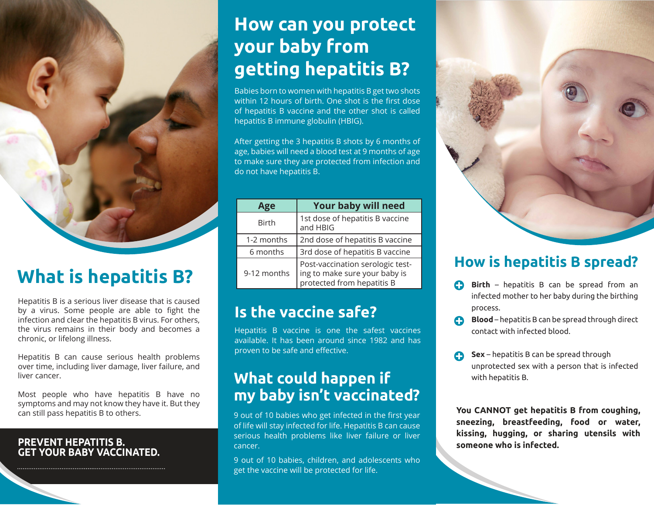

## **What is hepatitis B?**

Hepatitis B is a serious liver disease that is caused by a virus. Some people are able to fight the infection and clear the hepatitis B virus. For others, the virus remains in their body and becomes a chronic, or lifelong illness.

Hepatitis B can cause serious health problems over time, including liver damage, liver failure, and liver cancer.

Most people who have hepatitis B have no symptoms and may not know they have it. But they can still pass hepatitis B to others.

#### **PREVENT HEPATITIS B. GET YOUR BABY VACCINATED.**

### **How can you protect your baby from getting hepatitis B?**

Babies born to women with hepatitis B get two shots within 12 hours of birth. One shot is the first dose of hepatitis B vaccine and the other shot is called hepatitis B immune globulin (HBIG).

After getting the 3 hepatitis B shots by 6 months of age, babies will need a blood test at 9 months of age to make sure they are protected from infection and do not have hepatitis B.

| Age          | <b>Your baby will need</b>                                                                      |
|--------------|-------------------------------------------------------------------------------------------------|
| <b>Birth</b> | 1st dose of hepatitis B vaccine<br>and HBIG                                                     |
| 1-2 months   | 2nd dose of hepatitis B vaccine                                                                 |
| 6 months     | 3rd dose of hepatitis B vaccine                                                                 |
| 9-12 months  | Post-vaccination serologic test-<br>ing to make sure your baby is<br>protected from hepatitis B |

### **Is the vaccine safe?**

Hepatitis B vaccine is one the safest vaccines available. It has been around since 1982 and has proven to be safe and effective.

#### **What could happen if my baby isn't vaccinated?**

9 out of 10 babies who get infected in the first year of life will stay infected for life. Hepatitis B can cause serious health problems like liver failure or liver cancer.

9 out of 10 babies, children, and adolescents who get the vaccine will be protected for life.



#### **How is hepatitis B spread?**

- **Birth** hepatitis B can be spread from an infected mother to her baby during the birthing process.
- **Blood** hepatitis B can be spread through direct contact with infected blood.
- **Sex** hepatitis B can be spread through unprotected sex with a person that is infected with hepatitis B.

**You CANNOT get hepatitis B from coughing, sneezing, breastfeeding, food or water, kissing, hugging, or sharing utensils with someone who is infected.**